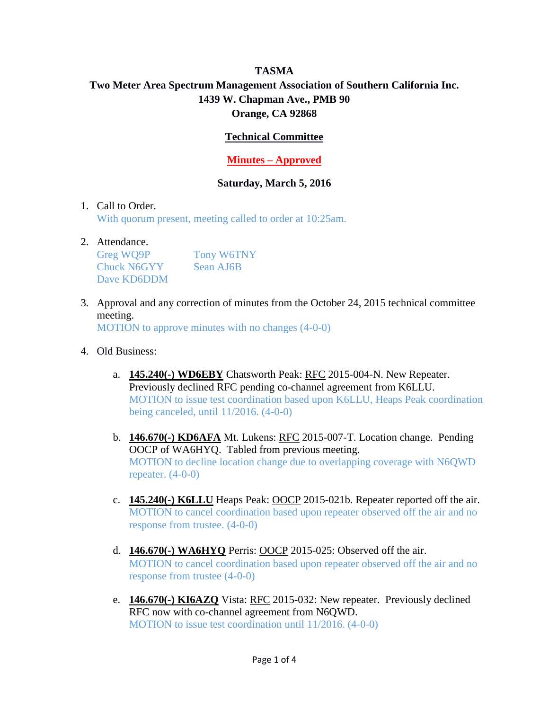# **TASMA Two Meter Area Spectrum Management Association of Southern California Inc. 1439 W. Chapman Ave., PMB 90 Orange, CA 92868**

## **Technical Committee**

### **Minutes – Approved**

#### **Saturday, March 5, 2016**

#### 1. Call to Order.

With quorum present, meeting called to order at 10:25am.

#### 2. Attendance.

| Greg WQ9P          | <b>Tony W6TNY</b> |
|--------------------|-------------------|
| <b>Chuck N6GYY</b> | Sean AJ6B         |
| Dave KD6DDM        |                   |

3. Approval and any correction of minutes from the October 24, 2015 technical committee meeting.

MOTION to approve minutes with no changes (4-0-0)

- 4. Old Business:
	- a. **145.240(-) WD6EBY** Chatsworth Peak: RFC 2015-004-N. New Repeater. Previously declined RFC pending co-channel agreement from K6LLU. MOTION to issue test coordination based upon K6LLU, Heaps Peak coordination being canceled, until 11/2016. (4-0-0)
	- b. **146.670(-) KD6AFA** Mt. Lukens: RFC 2015-007-T. Location change. Pending OOCP of WA6HYQ. Tabled from previous meeting. MOTION to decline location change due to overlapping coverage with N6QWD repeater.  $(4-0-0)$
	- c. **145.240(-) K6LLU** Heaps Peak: OOCP 2015-021b. Repeater reported off the air. MOTION to cancel coordination based upon repeater observed off the air and no response from trustee. (4-0-0)
	- d. **146.670(-) WA6HYQ** Perris: OOCP 2015-025: Observed off the air. MOTION to cancel coordination based upon repeater observed off the air and no response from trustee (4-0-0)
	- e. **146.670(-) KI6AZQ** Vista: RFC 2015-032: New repeater. Previously declined RFC now with co-channel agreement from N6QWD. MOTION to issue test coordination until 11/2016. (4-0-0)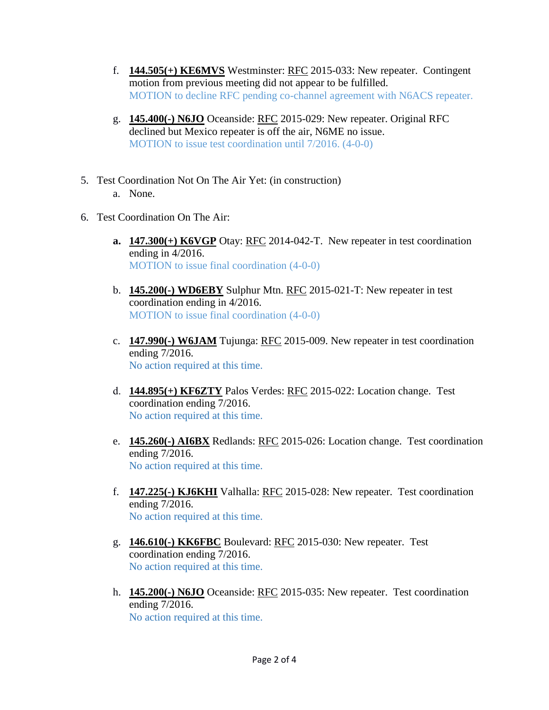- f. **144.505(+) KE6MVS** Westminster: RFC 2015-033: New repeater. Contingent motion from previous meeting did not appear to be fulfilled. MOTION to decline RFC pending co-channel agreement with N6ACS repeater.
- g. **145.400(-) N6JO** Oceanside: RFC 2015-029: New repeater. Original RFC declined but Mexico repeater is off the air, N6ME no issue. MOTION to issue test coordination until 7/2016. (4-0-0)
- 5. Test Coordination Not On The Air Yet: (in construction) a. None.
- 6. Test Coordination On The Air:
	- **a. 147.300(+) K6VGP** Otay: RFC 2014-042-T. New repeater in test coordination ending in 4/2016. MOTION to issue final coordination (4-0-0)
	- b. **145.200(-) WD6EBY** Sulphur Mtn. RFC 2015-021-T: New repeater in test coordination ending in 4/2016. MOTION to issue final coordination (4-0-0)
	- c. **147.990(-) W6JAM** Tujunga: RFC 2015-009. New repeater in test coordination ending 7/2016. No action required at this time.
	- d. **144.895(+) KF6ZTY** Palos Verdes: RFC 2015-022: Location change. Test coordination ending 7/2016. No action required at this time.
	- e. **145.260(-) AI6BX** Redlands: RFC 2015-026: Location change. Test coordination ending 7/2016. No action required at this time.
	- f. **147.225(-) KJ6KHI** Valhalla: RFC 2015-028: New repeater. Test coordination ending 7/2016. No action required at this time.
	- g. **146.610(-) KK6FBC** Boulevard: RFC 2015-030: New repeater. Test coordination ending 7/2016. No action required at this time.
	- h. **145.200(-) N6JO** Oceanside: RFC 2015-035: New repeater. Test coordination ending 7/2016. No action required at this time.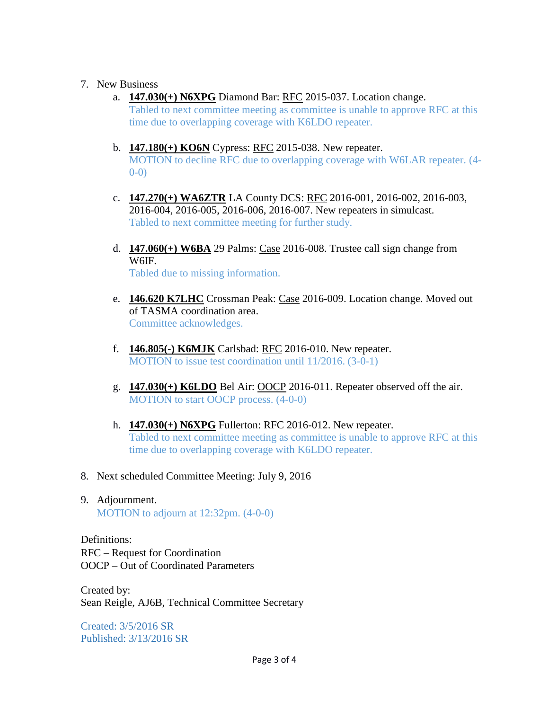#### 7. New Business

- a. **147.030(+) N6XPG** Diamond Bar: RFC 2015-037. Location change. Tabled to next committee meeting as committee is unable to approve RFC at this time due to overlapping coverage with K6LDO repeater.
- b. **147.180(+) KO6N** Cypress: RFC 2015-038. New repeater. MOTION to decline RFC due to overlapping coverage with W6LAR repeater. (4- 0-0)
- c. **147.270(+) WA6ZTR** LA County DCS: RFC 2016-001, 2016-002, 2016-003, 2016-004, 2016-005, 2016-006, 2016-007. New repeaters in simulcast. Tabled to next committee meeting for further study.
- d. **147.060(+) W6BA** 29 Palms: Case 2016-008. Trustee call sign change from W6IF. Tabled due to missing information.
- e. **146.620 K7LHC** Crossman Peak: Case 2016-009. Location change. Moved out of TASMA coordination area. Committee acknowledges.
- f. **146.805(-) K6MJK** Carlsbad: RFC 2016-010. New repeater. MOTION to issue test coordination until 11/2016. (3-0-1)
- g. **147.030(+) K6LDO** Bel Air: OOCP 2016-011. Repeater observed off the air. MOTION to start OOCP process. (4-0-0)
- h. **147.030(+) N6XPG** Fullerton: RFC 2016-012. New repeater. Tabled to next committee meeting as committee is unable to approve RFC at this time due to overlapping coverage with K6LDO repeater.
- 8. Next scheduled Committee Meeting: July 9, 2016
- 9. Adjournment. MOTION to adjourn at 12:32pm.  $(4-0-0)$

Definitions: RFC – Request for Coordination OOCP – Out of Coordinated Parameters

Created by: Sean Reigle, AJ6B, Technical Committee Secretary

Created: 3/5/2016 SR Published: 3/13/2016 SR